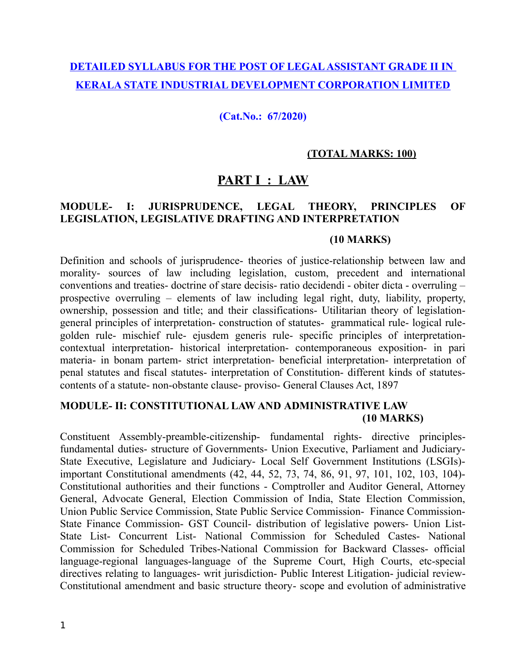# **DETAILED SYLLABUS FOR THE POST OF LEGAL ASSISTANT GRADE II IN KERALA STATE INDUSTRIAL DEVELOPMENT CORPORATION LIMITED**

**(Cat.No.: 67/2020)**

#### **(TOTAL MARKS: 100)**

# **PART I : LAW**

## **MODULE- I: JURISPRUDENCE, LEGAL THEORY, PRINCIPLES OF LEGISLATION, LEGISLATIVE DRAFTING AND INTERPRETATION**

#### **(10 MARKS)**

Definition and schools of jurisprudence- theories of justice-relationship between law and morality- sources of law including legislation, custom, precedent and international conventions and treaties- doctrine of stare decisis- ratio decidendi - obiter dicta - overruling – prospective overruling – elements of law including legal right, duty, liability, property, ownership, possession and title; and their classifications- Utilitarian theory of legislationgeneral principles of interpretation- construction of statutes- grammatical rule- logical rulegolden rule- mischief rule- ejusdem generis rule- specific principles of interpretationcontextual interpretation- historical interpretation- contemporaneous exposition- in pari materia- in bonam partem- strict interpretation- beneficial interpretation- interpretation of penal statutes and fiscal statutes- interpretation of Constitution- different kinds of statutescontents of a statute- non-obstante clause- proviso- General Clauses Act, 1897

### **MODULE- II: CONSTITUTIONAL LAW AND ADMINISTRATIVE LAW (10 MARKS)**

Constituent Assembly-preamble-citizenship- fundamental rights- directive principlesfundamental duties- structure of Governments- Union Executive, Parliament and Judiciary-State Executive, Legislature and Judiciary- Local Self Government Institutions (LSGIs) important Constitutional amendments (42, 44, 52, 73, 74, 86, 91, 97, 101, 102, 103, 104)- Constitutional authorities and their functions - Comptroller and Auditor General, Attorney General, Advocate General, Election Commission of India, State Election Commission, Union Public Service Commission, State Public Service Commission- Finance Commission-State Finance Commission- GST Council- distribution of legislative powers- Union List-State List- Concurrent List- National Commission for Scheduled Castes- National Commission for Scheduled Tribes-National Commission for Backward Classes- official language-regional languages-language of the Supreme Court, High Courts, etc-special directives relating to languages- writ jurisdiction- Public Interest Litigation- judicial review-Constitutional amendment and basic structure theory- scope and evolution of administrative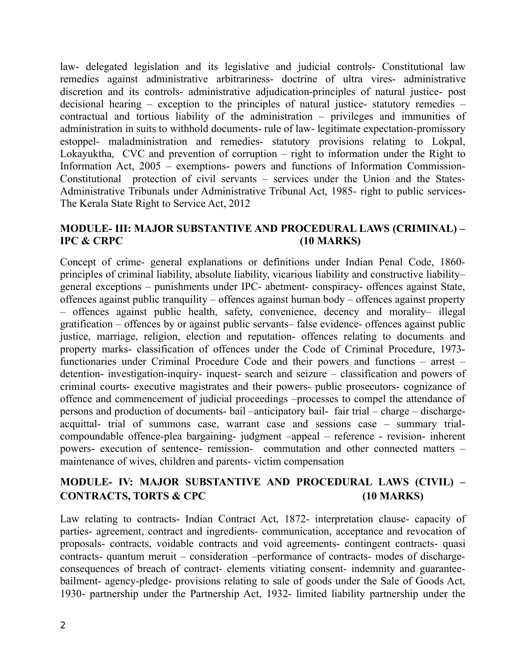law- delegated legislation and its legislative and judicial controls- Constitutional law remedies against administrative arbitrariness- doctrine of ultra vires- administrative discretion and its controls- administrative adjudication-principles of natural justice- post decisional hearing – exception to the principles of natural justice- statutory remedies – contractual and tortious liability of the administration – privileges and immunities of administration in suits to withhold documents- rule of law- legitimate expectation-promissory estoppel- maladministration and remedies- statutory provisions relating to Lokpal, Lokayuktha, CVC and prevention of corruption – right to information under the Right to Information Act, 2005 – exemptions- powers and functions of Information Commission-Constitutional protection of civil servants – services under the Union and the States-Administrative Tribunals under Administrative Tribunal Act, 1985- right to public services-The Kerala State Right to Service Act, 2012

#### **MODULE- III: MAJOR SUBSTANTIVE AND PROCEDURAL LAWS (CRIMINAL) – IPC & CRPC** (10 MARKS)

Concept of crime- general explanations or definitions under Indian Penal Code, 1860 principles of criminal liability, absolute liability, vicarious liability and constructive liability– general exceptions – punishments under IPC- abetment- conspiracy- offences against State, offences against public tranquility – offences against human body – offences against property – offences against public health, safety, convenience, decency and morality– illegal gratification – offences by or against public servants– false evidence- offences against public justice, marriage, religion, election and reputation- offences relating to documents and property marks- classification of offences under the Code of Criminal Procedure, 1973 functionaries under Criminal Procedure Code and their powers and functions – arrest – detention- investigation-inquiry- inquest- search and seizure – classification and powers of criminal courts- executive magistrates and their powers- public prosecutors- cognizance of offence and commencement of judicial proceedings –processes to compel the attendance of persons and production of documents- bail –anticipatory bail- fair trial – charge – dischargeacquittal- trial of summons case, warrant case and sessions case – summary trialcompoundable offence-plea bargaining- judgment –appeal – reference - revision- inherent powers- execution of sentence- remission- commutation and other connected matters – maintenance of wives, children and parents- victim compensation

## **MODULE- IV: MAJOR SUBSTANTIVE AND PROCEDURAL LAWS (CIVIL) – CONTRACTS, TORTS & CPC (10 MARKS)**

Law relating to contracts- Indian Contract Act, 1872- interpretation clause- capacity of parties- agreement, contract and ingredients- communication, acceptance and revocation of proposals- contracts, voidable contracts and void agreements- contingent contracts- quasi contracts- quantum meruit – consideration –performance of contracts- modes of dischargeconsequences of breach of contract- elements vitiating consent- indemnity and guaranteebailment- agency-pledge- provisions relating to sale of goods under the Sale of Goods Act, 1930- partnership under the Partnership Act, 1932- limited liability partnership under the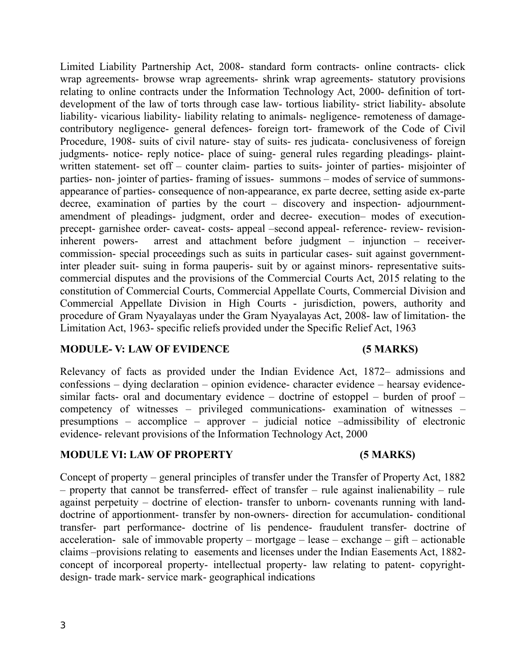Limited Liability Partnership Act, 2008- standard form contracts- online contracts- click wrap agreements- browse wrap agreements- shrink wrap agreements- statutory provisions relating to online contracts under the Information Technology Act, 2000- definition of tortdevelopment of the law of torts through case law- tortious liability- strict liability- absolute liability- vicarious liability- liability relating to animals- negligence- remoteness of damagecontributory negligence- general defences- foreign tort- framework of the Code of Civil Procedure, 1908- suits of civil nature- stay of suits- res judicata- conclusiveness of foreign judgments- notice- reply notice- place of suing- general rules regarding pleadings- plaintwritten statement- set off – counter claim- parties to suits- jointer of parties- misjointer of parties- non- jointer of parties- framing of issues- summons – modes of service of summonsappearance of parties- consequence of non-appearance, ex parte decree, setting aside ex-parte decree, examination of parties by the court – discovery and inspection- adjournmentamendment of pleadings- judgment, order and decree- execution– modes of executionprecept- garnishee order- caveat- costs- appeal –second appeal- reference- review- revisioninherent powers- arrest and attachment before judgment – injunction – receivercommission- special proceedings such as suits in particular cases- suit against governmentinter pleader suit- suing in forma pauperis- suit by or against minors- representative suitscommercial disputes and the provisions of the Commercial Courts Act, 2015 relating to the constitution of Commercial Courts, Commercial Appellate Courts, Commercial Division and Commercial Appellate Division in High Courts - jurisdiction, powers, authority and procedure of Gram Nyayalayas under the Gram Nyayalayas Act, 2008- law of limitation- the Limitation Act, 1963- specific reliefs provided under the Specific Relief Act, 1963

### **MODULE- V: LAW OF EVIDENCE (5 MARKS)**

Relevancy of facts as provided under the Indian Evidence Act, 1872– admissions and confessions – dying declaration – opinion evidence- character evidence – hearsay evidencesimilar facts- oral and documentary evidence – doctrine of estoppel – burden of proof – competency of witnesses – privileged communications- examination of witnesses – presumptions – accomplice – approver – judicial notice –admissibility of electronic evidence- relevant provisions of the Information Technology Act, 2000

### **MODULE VI: LAW OF PROPERTY (5 MARKS)**

Concept of property – general principles of transfer under the Transfer of Property Act, 1882 – property that cannot be transferred- effect of transfer – rule against inalienability – rule against perpetuity – doctrine of election- transfer to unborn- covenants running with landdoctrine of apportionment- transfer by non-owners- direction for accumulation- conditional transfer- part performance- doctrine of lis pendence- fraudulent transfer- doctrine of acceleration- sale of immovable property – mortgage – lease – exchange – gift – actionable claims –provisions relating to easements and licenses under the Indian Easements Act, 1882 concept of incorporeal property- intellectual property- law relating to patent- copyrightdesign- trade mark- service mark- geographical indications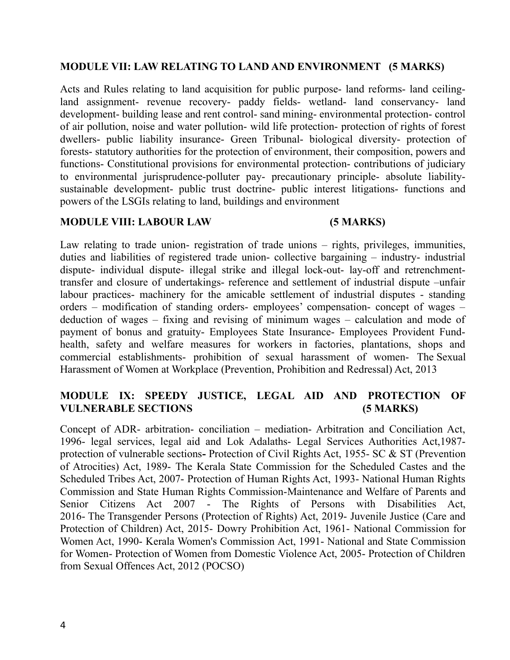#### **MODULE VII: LAW RELATING TO LAND AND ENVIRONMENT (5 MARKS)**

Acts and Rules relating to land acquisition for public purpose- land reforms- land ceilingland assignment- revenue recovery- paddy fields- wetland- land conservancy- land development- building lease and rent control- sand mining- environmental protection- control of air pollution, noise and water pollution- wild life protection- protection of rights of forest dwellers- public liability insurance- Green Tribunal- biological diversity- protection of forests- statutory authorities for the protection of environment, their composition, powers and functions- Constitutional provisions for environmental protection- contributions of judiciary to environmental jurisprudence-polluter pay- precautionary principle- absolute liabilitysustainable development- public trust doctrine- public interest litigations- functions and powers of the LSGIs relating to land, buildings and environment

#### **MODULE VIII: LABOUR LAW (5 MARKS)**

Law relating to trade union- registration of trade unions – rights, privileges, immunities, duties and liabilities of registered trade union- collective bargaining – industry- industrial dispute- individual dispute- illegal strike and illegal lock-out- lay-off and retrenchmenttransfer and closure of undertakings- reference and settlement of industrial dispute –unfair labour practices- machinery for the amicable settlement of industrial disputes - standing orders – modification of standing orders- employees' compensation- concept of wages – deduction of wages – fixing and revising of minimum wages – calculation and mode of payment of bonus and gratuity- Employees State Insurance- Employees Provident Fundhealth, safety and welfare measures for workers in factories, plantations, shops and commercial establishments- prohibition of sexual harassment of women- The Sexual Harassment of Women at Workplace (Prevention, Prohibition and Redressal) Act, 2013

## **MODULE IX: SPEEDY JUSTICE, LEGAL AID AND PROTECTION OF VULNERABLE SECTIONS (5 MARKS)**

Concept of ADR- arbitration- conciliation – mediation- Arbitration and Conciliation Act, 1996- legal services, legal aid and Lok Adalaths- Legal Services Authorities Act,1987 protection of vulnerable sections**-** Protection of Civil Rights Act, 1955- SC & ST (Prevention of Atrocities) Act, 1989- The Kerala State Commission for the Scheduled Castes and the Scheduled Tribes Act, 2007- Protection of Human Rights Act, 1993- National Human Rights Commission and State Human Rights Commission-Maintenance and Welfare of Parents and Senior Citizens Act 2007 - The Rights of Persons with Disabilities Act, 2016- The Transgender Persons (Protection of Rights) Act, 2019- Juvenile Justice (Care and Protection of Children) Act, 2015- Dowry Prohibition Act, 1961- National Commission for Women Act, 1990- Kerala Women's Commission Act, 1991- National and State Commission for Women- Protection of Women from Domestic Violence Act, 2005- Protection of Children from Sexual Offences Act, 2012 (POCSO)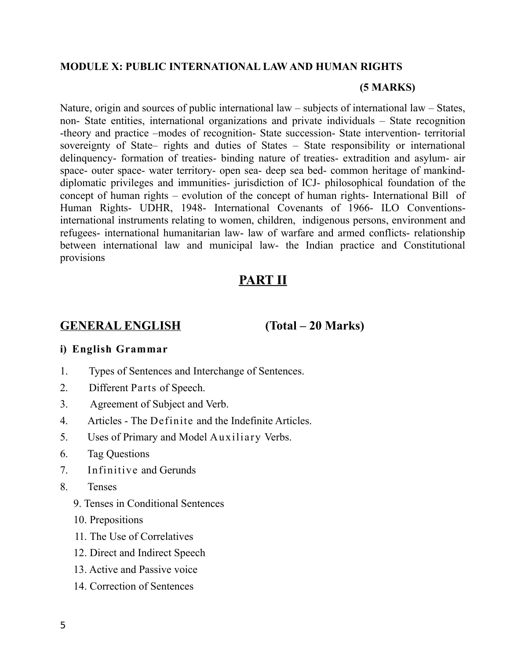#### **MODULE X: PUBLIC INTERNATIONAL LAW AND HUMAN RIGHTS**

#### **(5 MARKS)**

Nature, origin and sources of public international law – subjects of international law – States, non- State entities, international organizations and private individuals – State recognition -theory and practice –modes of recognition- State succession- State intervention- territorial sovereignty of State– rights and duties of States – State responsibility or international delinquency- formation of treaties- binding nature of treaties- extradition and asylum- air space- outer space- water territory- open sea- deep sea bed- common heritage of mankinddiplomatic privileges and immunities- jurisdiction of ICJ- philosophical foundation of the concept of human rights – evolution of the concept of human rights- International Bill of Human Rights- UDHR, 1948- International Covenants of 1966- ILO Conventionsinternational instruments relating to women, children, indigenous persons, environment and refugees- international humanitarian law- law of warfare and armed conflicts- relationship between international law and municipal law- the Indian practice and Constitutional provisions

# **PART II**

## **GENERAL ENGLISH (Total – 20 Marks)**

### **i) English Grammar**

- 1. Types of Sentences and Interchange of Sentences.
- 2. Different Parts of Speech.
- 3. Agreement of Subject and Verb.
- 4. Articles The Definite and the Indefinite Articles.
- 5. Uses of Primary and Model Auxiliary Verbs.
- 6. Tag Questions
- 7. Infinitive and Gerunds
- 8. Tenses
	- 9. Tenses in Conditional Sentences
	- 10. Prepositions
	- 11. The Use of Correlatives
	- 12. Direct and Indirect Speech
	- 13. Active and Passive voice
	- 14. Correction of Sentences